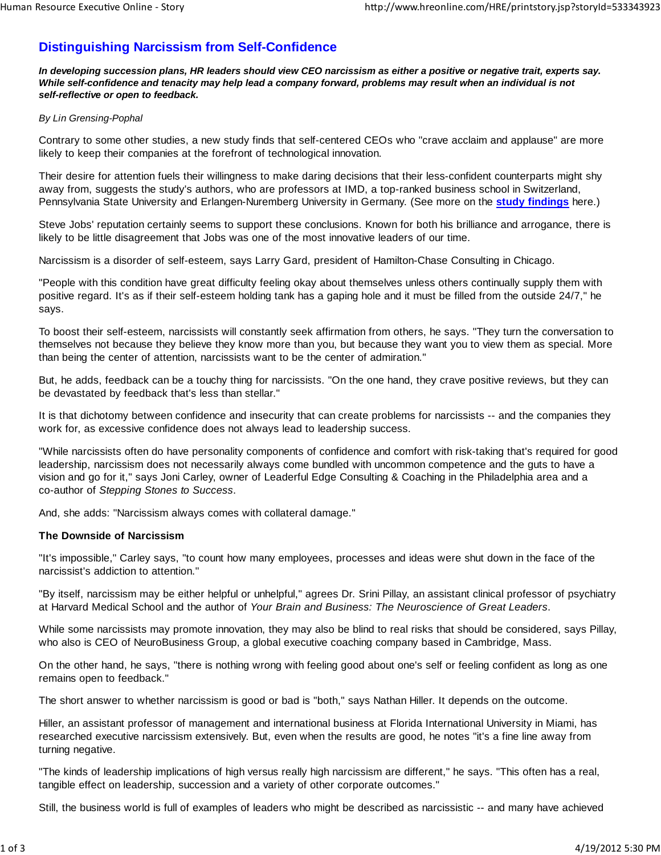# **Distinguishing Narcissism from Self-Confidence**

*In developing succession plans, HR leaders should view CEO narcissism as either a positive or negative trait, experts say. While self-confidence and tenacity may help lead a company forward, problems may result when an individual is not self-reflective or open to feedback.*

### *By Lin Grensing-Pophal*

Contrary to some other studies, a new study finds that self-centered CEOs who "crave acclaim and applause" are more likely to keep their companies at the forefront of technological innovation.

Their desire for attention fuels their willingness to make daring decisions that their less-confident counterparts might shy away from, suggests the study's authors, who are professors at IMD, a top-ranked business school in Switzerland, Pennsylvania State University and Erlangen-Nuremberg University in Germany. (See more on the **study findings** here.)

Steve Jobs' reputation certainly seems to support these conclusions. Known for both his brilliance and arrogance, there is likely to be little disagreement that Jobs was one of the most innovative leaders of our time.

Narcissism is a disorder of self-esteem, says Larry Gard, president of Hamilton-Chase Consulting in Chicago.

"People with this condition have great difficulty feeling okay about themselves unless others continually supply them with positive regard. It's as if their self-esteem holding tank has a gaping hole and it must be filled from the outside 24/7," he says.

To boost their self-esteem, narcissists will constantly seek affirmation from others, he says. "They turn the conversation to themselves not because they believe they know more than you, but because they want you to view them as special. More than being the center of attention, narcissists want to be the center of admiration."

But, he adds, feedback can be a touchy thing for narcissists. "On the one hand, they crave positive reviews, but they can be devastated by feedback that's less than stellar."

It is that dichotomy between confidence and insecurity that can create problems for narcissists -- and the companies they work for, as excessive confidence does not always lead to leadership success.

"While narcissists often do have personality components of confidence and comfort with risk-taking that's required for good leadership, narcissism does not necessarily always come bundled with uncommon competence and the guts to have a vision and go for it," says Joni Carley, owner of Leaderful Edge Consulting & Coaching in the Philadelphia area and a co-author of *Stepping Stones to Success*.

And, she adds: "Narcissism always comes with collateral damage."

## **The Downside of Narcissism**

"It's impossible," Carley says, "to count how many employees, processes and ideas were shut down in the face of the narcissist's addiction to attention."

"By itself, narcissism may be either helpful or unhelpful," agrees Dr. Srini Pillay, an assistant clinical professor of psychiatry at Harvard Medical School and the author of *Your Brain and Business: The Neuroscience of Great Leaders*.

While some narcissists may promote innovation, they may also be blind to real risks that should be considered, says Pillay, who also is CEO of NeuroBusiness Group, a global executive coaching company based in Cambridge, Mass.

On the other hand, he says, "there is nothing wrong with feeling good about one's self or feeling confident as long as one remains open to feedback."

The short answer to whether narcissism is good or bad is "both," says Nathan Hiller. It depends on the outcome.

Hiller, an assistant professor of management and international business at Florida International University in Miami, has researched executive narcissism extensively. But, even when the results are good, he notes "it's a fine line away from turning negative.

"The kinds of leadership implications of high versus really high narcissism are different," he says. "This often has a real, tangible effect on leadership, succession and a variety of other corporate outcomes."

Still, the business world is full of examples of leaders who might be described as narcissistic -- and many have achieved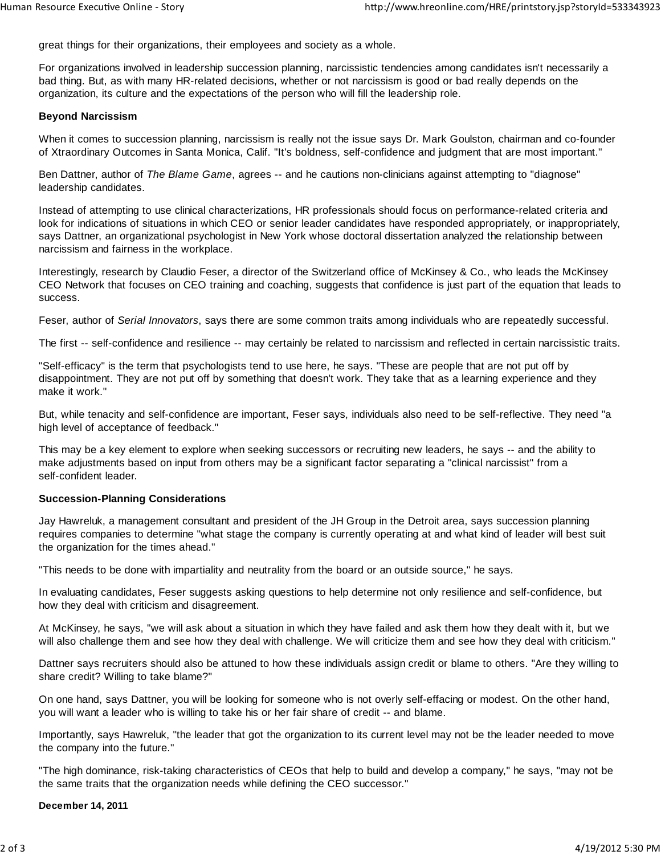great things for their organizations, their employees and society as a whole.

For organizations involved in leadership succession planning, narcissistic tendencies among candidates isn't necessarily a bad thing. But, as with many HR-related decisions, whether or not narcissism is good or bad really depends on the organization, its culture and the expectations of the person who will fill the leadership role.

#### **Beyond Narcissism**

When it comes to succession planning, narcissism is really not the issue says Dr. Mark Goulston, chairman and co-founder of Xtraordinary Outcomes in Santa Monica, Calif. "It's boldness, self-confidence and judgment that are most important."

Ben Dattner, author of *The Blame Game*, agrees -- and he cautions non-clinicians against attempting to "diagnose" leadership candidates.

Instead of attempting to use clinical characterizations, HR professionals should focus on performance-related criteria and look for indications of situations in which CEO or senior leader candidates have responded appropriately, or inappropriately, says Dattner, an organizational psychologist in New York whose doctoral dissertation analyzed the relationship between narcissism and fairness in the workplace.

Interestingly, research by Claudio Feser, a director of the Switzerland office of McKinsey & Co., who leads the McKinsey CEO Network that focuses on CEO training and coaching, suggests that confidence is just part of the equation that leads to success.

Feser, author of *Serial Innovators*, says there are some common traits among individuals who are repeatedly successful.

The first -- self-confidence and resilience -- may certainly be related to narcissism and reflected in certain narcissistic traits.

"Self-efficacy" is the term that psychologists tend to use here, he says. "These are people that are not put off by disappointment. They are not put off by something that doesn't work. They take that as a learning experience and they make it work."

But, while tenacity and self-confidence are important, Feser says, individuals also need to be self-reflective. They need "a high level of acceptance of feedback."

This may be a key element to explore when seeking successors or recruiting new leaders, he says -- and the ability to make adjustments based on input from others may be a significant factor separating a "clinical narcissist" from a self-confident leader.

#### **Succession-Planning Considerations**

Jay Hawreluk, a management consultant and president of the JH Group in the Detroit area, says succession planning requires companies to determine "what stage the company is currently operating at and what kind of leader will best suit the organization for the times ahead."

"This needs to be done with impartiality and neutrality from the board or an outside source," he says.

In evaluating candidates, Feser suggests asking questions to help determine not only resilience and self-confidence, but how they deal with criticism and disagreement.

At McKinsey, he says, "we will ask about a situation in which they have failed and ask them how they dealt with it, but we will also challenge them and see how they deal with challenge. We will criticize them and see how they deal with criticism."

Dattner says recruiters should also be attuned to how these individuals assign credit or blame to others. "Are they willing to share credit? Willing to take blame?"

On one hand, says Dattner, you will be looking for someone who is not overly self-effacing or modest. On the other hand, you will want a leader who is willing to take his or her fair share of credit -- and blame.

Importantly, says Hawreluk, "the leader that got the organization to its current level may not be the leader needed to move the company into the future."

"The high dominance, risk-taking characteristics of CEOs that help to build and develop a company," he says, "may not be the same traits that the organization needs while defining the CEO successor."

**December 14, 2011**